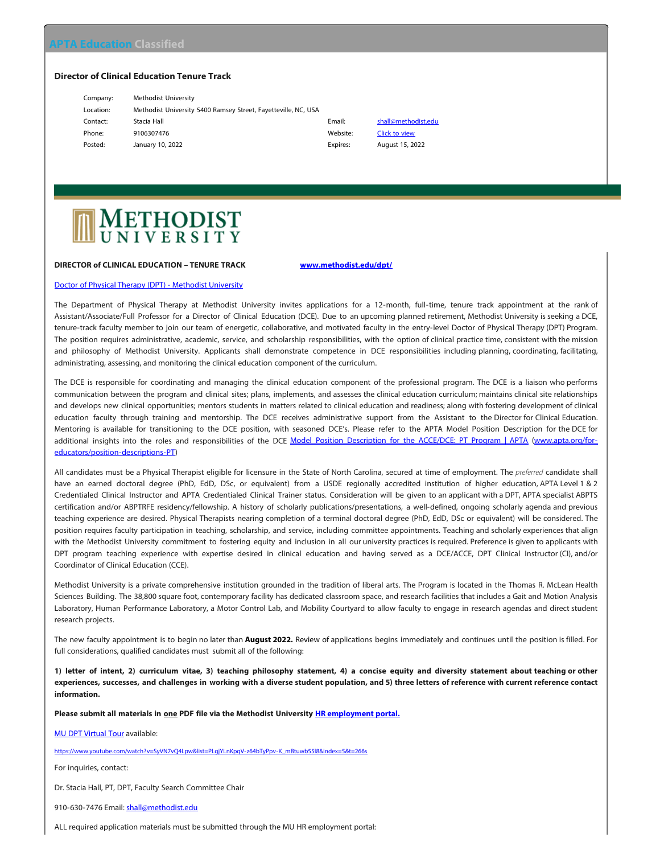## **Director of Clinical Education Tenure Track**

| Company:  | Methodist University                                           |          |                      |
|-----------|----------------------------------------------------------------|----------|----------------------|
| Location: | Methodist University 5400 Ramsey Street, Fayetteville, NC, USA |          |                      |
| Contact:  | Stacia Hall                                                    | Email:   | shall@metho          |
| Phone:    | 9106307476                                                     | Website: | <b>Click to view</b> |
| Posted:   | January 10, 2022                                               | Expires: | <b>August 15, 2</b>  |
|           |                                                                |          |                      |

Email: [shall@methodist.edu](mailto:shall@methodist.edu?subject=Response to Classified on APTA Education website) Expires: August 15, 2022

# METHODIST<br>UNIVERSITY

#### **DIRECTOR of CLINICAL EDUCATION – TENURE TRACK [www.methodist.edu/dpt/](http://www.methodist.edu/dpt/)**

### [Doctor of Physical Therapy \(DPT\) - Methodist University](https://www.methodist.edu/dpt/)

The Department of Physical Therapy at Methodist University invites applications for a 12-month, full-time, tenure track appointment at the rank of Assistant/Associate/Full Professor for a Director of Clinical Education (DCE). Due to an upcoming planned retirement, Methodist University is seeking a DCE, tenure-track faculty member to join our team of energetic, collaborative, and motivated faculty in the entry-level Doctor of Physical Therapy (DPT) Program. The position requires administrative, academic, service, and scholarship responsibilities, with the option of clinical practice time, consistent with the mission and philosophy of Methodist University. Applicants shall demonstrate competence in DCE responsibilities including planning, coordinating, facilitating, administrating, assessing, and monitoring the clinical education component of the curriculum.

The DCE is responsible for coordinating and managing the clinical education component of the professional program. The DCE is a liaison who performs communication between the program and clinical sites; plans, implements, and assesses the clinical education curriculum; maintains clinical site relationships and develops new clinical opportunities; mentors students in matters related to clinical education and readiness; along with fostering development of clinical education faculty through training and mentorship. The DCE receives administrative support from the Assistant to the Director for Clinical Education. Mentoring is available for transitioning to the DCE position, with seasoned DCE's. Please refer to the APTA Model Position Description for the DCE for additional insights into the roles and responsibilities of the DCE [Model Position Description for the ACCE/DCE: PT Program | APTA](https://www.apta.org/for-educators/position-descriptions-PT) ([www.apta.org/for](http://www.apta.org/for-educators/position-descriptions-PT)[educators/position-descriptions-PT\)](http://www.apta.org/for-educators/position-descriptions-PT)

All candidates must be a Physical Therapist eligible for licensure in the State of North Carolina, secured at time of employment. The *preferred* candidate shall have an earned doctoral degree (PhD, EdD, DSc, or equivalent) from a USDE regionally accredited institution of higher education, APTA Level 1 & 2 Credentialed Clinical Instructor and APTA Credentialed Clinical Trainer status. Consideration will be given to an applicant with a DPT, APTA specialist ABPTS certification and/or ABPTRFE residency/fellowship. A history of scholarly publications/presentations, a well-defined, ongoing scholarly agenda and previous teaching experience are desired. Physical Therapists nearing completion of a terminal doctoral degree (PhD, EdD, DSc or equivalent) will be considered. The position requires faculty participation in teaching, scholarship, and service, including committee appointments. Teaching and scholarly experiences that align with the Methodist University commitment to fostering equity and inclusion in all our university practices is required. Preference is given to applicants with DPT program teaching experience with expertise desired in clinical education and having served as a DCE/ACCE, DPT Clinical Instructor (CI), and/or Coordinator of Clinical Education (CCE).

Methodist University is a private comprehensive institution grounded in the tradition of liberal arts. The Program is located in the Thomas R. McLean Health Sciences Building. The 38,800 square foot, contemporary facility has dedicated classroom space, and research facilities that includes a Gait and Motion Analysis Laboratory, Human Performance Laboratory, a Motor Control Lab, and Mobility Courtyard to allow faculty to engage in research agendas and direct student research projects.

The new faculty appointment is to begin no later than **August 2022.** Review of applications begins immediately and continues until the position is filled. For full considerations, qualified candidates must submit all of the following:

**1) letter of intent, 2) curriculum vitae, 3) teaching philosophy statement, 4) a concise equity and diversity statement about teaching or other experiences, successes, and challenges in working with a diverse student population, and 5) three letters of reference with current reference contact information.**

#### Please submit all materials in one PDF file via the Methodist University **[HR employment portal.](http://www.methodist.edu/positions-available)**

[MU DPT Virtual Tour](https://www.youtube.com/watch?v=SyVN7vQ4Lpw&list=PLgjYLnKpqV-z64bTyPpv-K_mBtuwb55l8&index=5&t=266s) available:

[https://www.youtube.com/watch?v=SyVN7vQ4Lpw&list=PLgjYLnKpqV-z64bTyPpv-K\\_mBtuwb55l8&index=5&t=266s](https://www.youtube.com/watch?v=SyVN7vQ4Lpw&list=PLgjYLnKpqV-z64bTyPpv-K_mBtuwb55l8&index=5&t=266s)

For inquiries, contact:

Dr. Stacia Hall, PT, DPT, Faculty Search Committee Chair

910-630-7476 Email: [shall@methodist.edu](mailto:shall@methodist.edu)

ALL required application materials must be submitted through the MU HR employment portal: